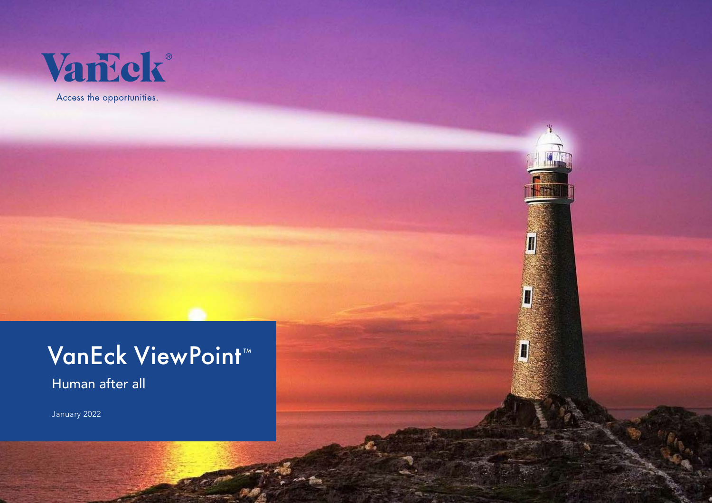

Access the opportunities.

# VanEck ViewPoint<sup>™</sup>

Human after all

January 2022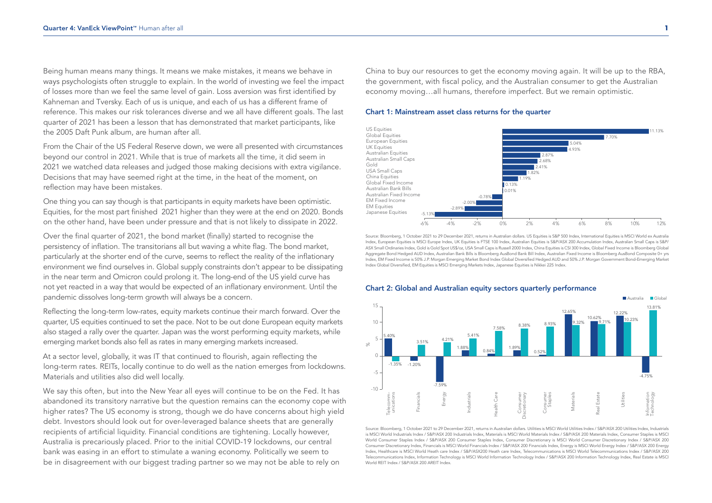Being human means many things. It means we make mistakes, it means we behave in ways psychologists often struggle to explain. In the world of investing we feel the impact of losses more than we feel the same level of gain. Loss aversion was first identified by Kahneman and Tversky. Each of us is unique, and each of us has a different frame of reference. This makes our risk tolerances diverse and we all have different goals. The last quarter of 2021 has been a lesson that has demonstrated that market participants, like the 2005 Daft Punk album, are human after all.

From the Chair of the US Federal Reserve down, we were all presented with circumstances beyond our control in 2021. While that is true of markets all the time, it did seem in 2021 we watched data releases and judged those making decisions with extra vigilance. Decisions that may have seemed right at the time, in the heat of the moment, on reflection may have been mistakes.

One thing you can say though is that participants in equity markets have been optimistic. Equities, for the most part finished 2021 higher than they were at the end on 2020. Bonds on the other hand, have been under pressure and that is not likely to dissipate in 2022.

Over the final quarter of 2021, the bond market (finally) started to recognise the persistency of inflation. The transitorians all but waving a white flag. The bond market, particularly at the shorter end of the curve, seems to reflect the reality of the inflationary environment we find ourselves in. Global supply constraints don't appear to be dissipating in the near term and Omicron could prolong it. The long-end of the US yield curve has not yet reacted in a way that would be expected of an inflationary environment. Until the pandemic dissolves long-term growth will always be a concern.

Reflecting the long-term low-rates, equity markets continue their march forward. Over the quarter, US equities continued to set the pace. Not to be out done European equity markets also staged a rally over the quarter. Japan was the worst performing equity markets, while emerging market bonds also fell as rates in many emerging markets increased.

At a sector level, globally, it was IT that continued to flourish, again reflecting the long-term rates. REITs, locally continue to do well as the nation emerges from lockdowns. Materials and utilities also did well locally.

We say this often, but into the New Year all eyes will continue to be on the Fed. It has abandoned its transitory narrative but the question remains can the economy cope with higher rates? The US economy is strong, though we do have concerns about high yield debt. Investors should look out for over-leveraged balance sheets that are generally recipients of artificial liquidity. Financial conditions are tightening. Locally however, Australia is precariously placed. Prior to the initial COVID-19 lockdowns, our central bank was easing in an effort to stimulate a waning economy. Politically we seem to be in disagreement with our biggest trading partner so we may not be able to rely on

China to buy our resources to get the economy moving again. It will be up to the RBA, the government, with fiscal policy, and the Australian consumer to get the Australian economy moving…all humans, therefore imperfect. But we remain optimistic.

#### Chart 1: Mainstream asset class returns for the quarter



Source: Bloomberg, 1 October 2021 to 29 December 2021, returns in Australian dollars. US Equities is S&P 500 Index, International Equities is MSCI World ex Australia Index, European Equities is MSCI Europe Index, UK Equities is FTSE 100 Index, Australian Equities is S&P/ASX 200 Accumulation Index, Australian Small Caps is S&P/ ASX Small Ordinaries Index, Gold is Gold Spot US\$/oz, USA Small Caps is Russell 2000 Index, China Equities is CSI 300 Index, Global Fixed Income is Bloomberg Global Aggregate Bond Hedged AUD Index, Australian Bank Bills is Bloomberg AusBond Bank Bill Index, Australian Fixed Income is Bloomberg AusBond Composite 0+ yrs Index, EM Fixed Income is 50% J.P. Morgan Emerging Market Bond Index Global Diversified Hedged AUD and 50% J.P. Morgan Government Bond-Emerging Market Index Global Diversified, EM Equities is MSCI Emerging Markets Index, Japanese Equities is Nikkei 225 Index.



Source: Bloomberg, 1 October 2021 to 29 December 2021, returns in Australian dollars. Utilities is MSCI World Utilities Index / S&P/ASX 200 Utilities Index, Industrials is MSCI World Industrials Index / S&P/ASX 200 Industrials Index, Materials is MSCI World Materials Index / S&P/ASX 200 Materials Index, Consumer Staples is MSCI World Consumer Staples Index / S&P/ASX 200 Consumer Staples Index, Consumer Discretionary is MSCI World Consumer Discretionary Index / S&P/ASX 200 Consumer Discretionary Index, Financials is MSCI World Financials Index / S&P/ASX 200 Financials Index, Energy is MSCI World Energy Index / S&P/ASX 200 Energy Index, Healthcare is MSCI World Heath care Index / S&P/ASX200 Heath care Index, Telecommunications is MSCI World Telecommunications Index / S&P/ASX 200 Telecommunications Index, Information Technology is MSCI World Information Technology Index / S&P/ASX 200 Information Technology Index, Real Estate is MSCI World REIT Index / S&P/ASX 200 AREIT Index.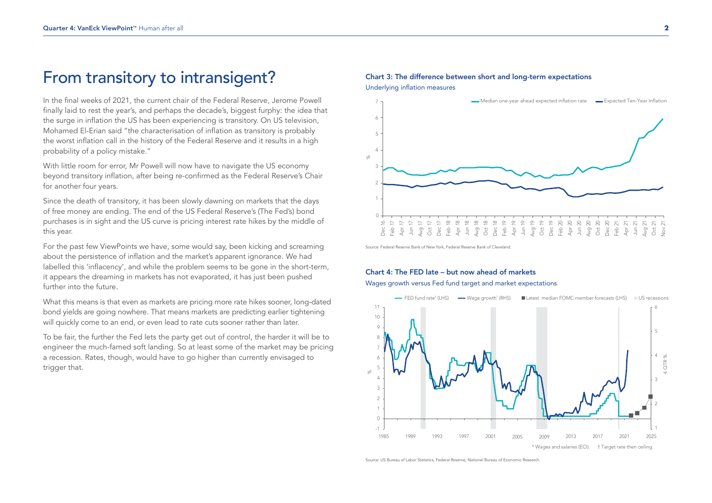### From transitory to intransigent?

In the final weeks of 2021, the current chair of the Federal Reserve, Jerome Powell finally laid to rest the year's, and perhaps the decade's, biggest furphy: the idea that the surge in inflation the US has been experiencing is transitory. On US television, Mohamed El-Erian said "the characterisation of inflation as transitory is probably the worst inflation call in the history of the Federal Reserve and it results in a high probability of a policy mistake."

With little room for error, Mr Powell will now have to navigate the US economy beyond transitory inflation, after being re-confirmed as the Federal Reserve's Chair for another four years.

Since the death of transitory, it has been slowly dawning on markets that the days of free money are ending. The end of the US Federal Reserve's (The Fed's) bond purchases is in sight and the US curve is pricing interest rate hikes by the middle of this year.

For the past few ViewPoints we have, some would say, been kicking and screaming about the persistence of inflation and the market's apparent ignorance. We had labelled this 'inflacency', and while the problem seems to be gone in the short-term, it appears the dreaming in markets has not evaporated, it has just been pushed further into the future.

What this means is that even as markets are pricing more rate hikes sooner, long-dated bond yields are going nowhere. That means markets are predicting earlier tightening will quickly come to an end, or even lead to rate cuts sooner rather than later.

To be fair, the further the Fed lets the party get out of control, the harder it will be to engineer the much-famed soft landing. So at least some of the market may be pricing a recession. Rates, though, would have to go higher than currently envisaged to trigger that.

#### Chart 3: The difference between short and long-term expectations Underlying inflation measures



Source: Federal Reserve Bank of New York, Federal Reserve Bank of Cleveland

#### Chart 4: The FED late – but now ahead of markets

#### Wages growth versus Fed fund target and market expectations



Source: US Bureau of Labor Statistics, Federal Reserve, National Bureau of Economic Research.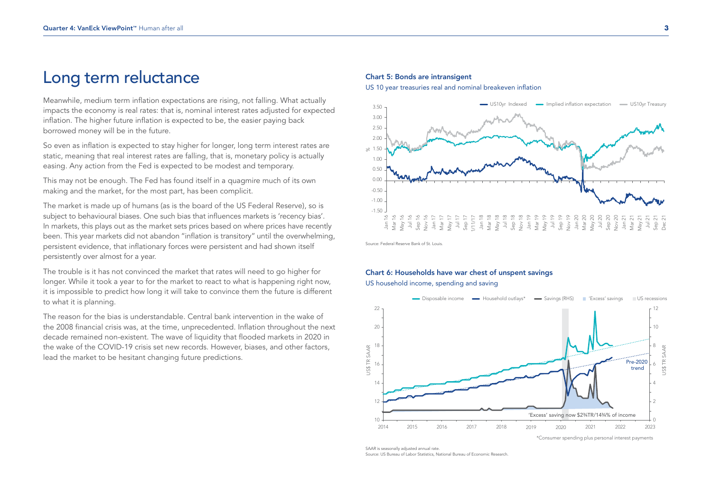### Long term reluctance

Meanwhile, medium term inflation expectations are rising, not falling. What actually impacts the economy is real rates: that is, nominal interest rates adjusted for expected inflation. The higher future inflation is expected to be, the easier paying back borrowed money will be in the future.

So even as inflation is expected to stay higher for longer, long term interest rates are static, meaning that real interest rates are falling, that is, monetary policy is actually easing. Any action from the Fed is expected to be modest and temporary.

This may not be enough. The Fed has found itself in a quagmire much of its own making and the market, for the most part, has been complicit.

The market is made up of humans (as is the board of the US Federal Reserve), so is subject to behavioural biases. One such bias that influences markets is 'recency bias'. In markets, this plays out as the market sets prices based on where prices have recently been. This year markets did not abandon "inflation is transitory" until the overwhelming, persistent evidence, that inflationary forces were persistent and had shown itself persistently over almost for a year.

The trouble is it has not convinced the market that rates will need to go higher for longer. While it took a year to for the market to react to what is happening right now, it is impossible to predict how long it will take to convince them the future is different to what it is planning.

The reason for the bias is understandable. Central bank intervention in the wake of the 2008 financial crisis was, at the time, unprecedented. Inflation throughout the next decade remained non-existent. The wave of liquidity that flooded markets in 2020 in the wake of the COVID-19 crisis set new records. However, biases, and other factors, lead the market to be hesitant changing future predictions.

#### Chart 5: Bonds are intransigent

US 10 year treasuries real and nominal breakeven inflation



Source: Federal Reserve Bank of St. Louis.

#### Chart 6: Households have war chest of unspent savings

#### US household income, spending and saving



<sup>\*</sup>Consumer spending plus personal interest payments

SAAR is seasonally adjusted annual rate. Source: US Bureau of Labor Statistics, National Bureau of Economic Research.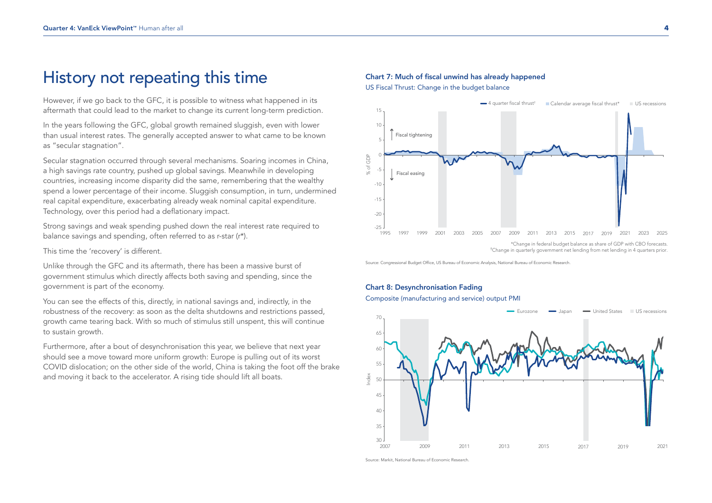### History not repeating this time

However, if we go back to the GFC, it is possible to witness what happened in its aftermath that could lead to the market to change its current long-term prediction.

In the years following the GFC, global growth remained sluggish, even with lower than usual interest rates. The generally accepted answer to what came to be known as "secular stagnation".

Secular stagnation occurred through several mechanisms. Soaring incomes in China, a high savings rate country, pushed up global savings. Meanwhile in developing countries, increasing income disparity did the same, remembering that the wealthy spend a lower percentage of their income. Sluggish consumption, in turn, undermined real capital expenditure, exacerbating already weak nominal capital expenditure. Technology, over this period had a deflationary impact.

Strong savings and weak spending pushed down the real interest rate required to balance savings and spending, often referred to as r-star (r\*).

This time the 'recovery' is different.

Unlike through the GFC and its aftermath, there has been a massive burst of government stimulus which directly affects both saving and spending, since the government is part of the economy.

You can see the effects of this, directly, in national savings and, indirectly, in the robustness of the recovery: as soon as the delta shutdowns and restrictions passed, growth came tearing back. With so much of stimulus still unspent, this will continue to sustain growth.

Furthermore, after a bout of desynchronisation this year, we believe that next year should see a move toward more uniform growth: Europe is pulling out of its worst COVID dislocation; on the other side of the world, China is taking the foot off the brake and moving it back to the accelerator. A rising tide should lift all boats.

#### Chart 7: Much of fiscal unwind has already happened US Fiscal Thrust: Change in the budget balance



Source: Congressional Budget Office, US Bureau of Economic Analysis, National Bureau of Economic Research.

#### Chart 8: Desynchronisation Fading

#### Composite (manufacturing and service) output PMI



Source: Markit, National Bureau of Economic Research.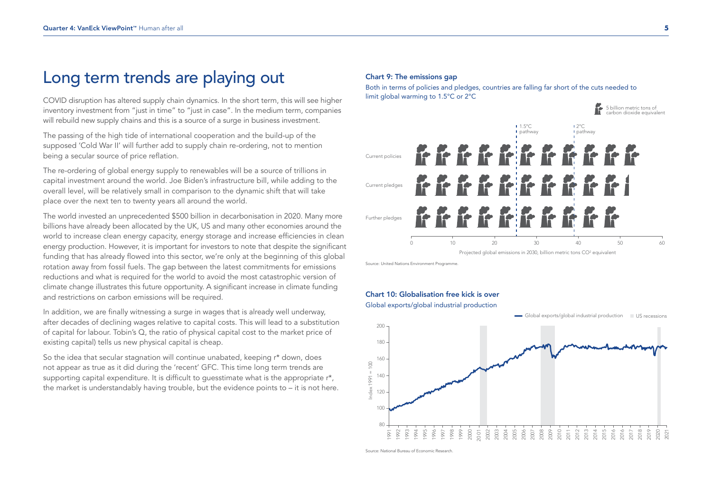### Long term trends are playing out

COVID disruption has altered supply chain dynamics. In the short term, this will see higher inventory investment from "just in time" to "just in case". In the medium term, companies will rebuild new supply chains and this is a source of a surge in business investment.

The passing of the high tide of international cooperation and the build-up of the supposed 'Cold War II' will further add to supply chain re-ordering, not to mention being a secular source of price reflation.

The re-ordering of global energy supply to renewables will be a source of trillions in capital investment around the world. Joe Biden's infrastructure bill, while adding to the overall level, will be relatively small in comparison to the dynamic shift that will take place over the next ten to twenty years all around the world.

The world invested an unprecedented \$500 billion in decarbonisation in 2020. Many more billions have already been allocated by the UK, US and many other economies around the world to increase clean energy capacity, energy storage and increase efficiencies in clean energy production. However, it is important for investors to note that despite the significant funding that has already flowed into this sector, we're only at the beginning of this global rotation away from fossil fuels. The gap between the latest commitments for emissions reductions and what is required for the world to avoid the most catastrophic version of climate change illustrates this future opportunity. A significant increase in climate funding and restrictions on carbon emissions will be required.

In addition, we are finally witnessing a surge in wages that is already well underway, after decades of declining wages relative to capital costs. This will lead to a substitution of capital for labour. Tobin's Q, the ratio of physical capital cost to the market price of existing capital) tells us new physical capital is cheap.

So the idea that secular stagnation will continue unabated, keeping r\* down, does not appear as true as it did during the 'recent' GFC. This time long term trends are supporting capital expenditure. It is difficult to guesstimate what is the appropriate r\*, the market is understandably having trouble, but the evidence points to – it is not here.

#### Chart 9: The emissions gap

Both in terms of policies and pledges, countries are falling far short of the cuts needed to limit global warming to 1.5°C or 2°C



Source: United Nations Environment Programme.



### Chart 10: Globalisation free kick is over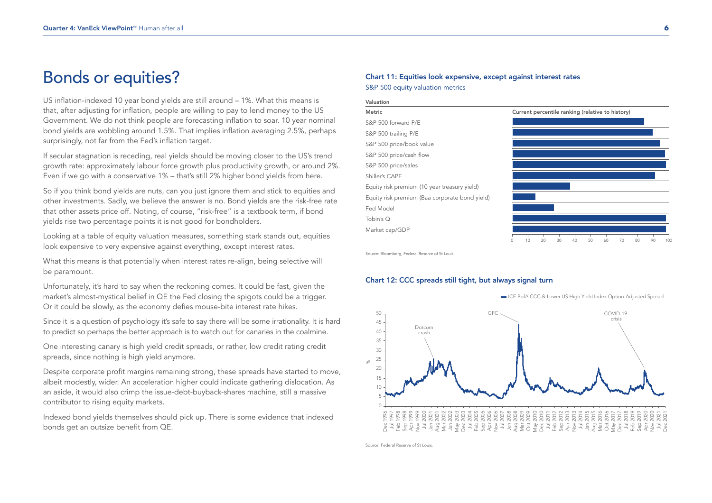### Bonds or equities?

US inflation-indexed 10 year bond yields are still around – 1%. What this means is that, after adjusting for inflation, people are willing to pay to lend money to the US Government. We do not think people are forecasting inflation to soar. 10 year nominal bond yields are wobbling around 1.5%. That implies inflation averaging 2.5%, perhaps surprisingly, not far from the Fed's inflation target.

If secular stagnation is receding, real yields should be moving closer to the US's trend growth rate: approximately labour force growth plus productivity growth, or around 2%. Even if we go with a conservative 1% – that's still 2% higher bond yields from here.

So if you think bond yields are nuts, can you just ignore them and stick to equities and other investments. Sadly, we believe the answer is no. Bond yields are the risk-free rate that other assets price off. Noting, of course, "risk-free" is a textbook term, if bond yields rise two percentage points it is not good for bondholders.

Looking at a table of equity valuation measures, something stark stands out, equities look expensive to very expensive against everything, except interest rates.

What this means is that potentially when interest rates re-align, being selective will be paramount.

Unfortunately, it's hard to say when the reckoning comes. It could be fast, given the market's almost-mystical belief in QE the Fed closing the spigots could be a trigger. Or it could be slowly, as the economy defies mouse-bite interest rate hikes.

Since it is a question of psychology it's safe to say there will be some irrationality. It is hard to predict so perhaps the better approach is to watch out for canaries in the coalmine.

One interesting canary is high yield credit spreads, or rather, low credit rating credit spreads, since nothing is high yield anymore.

Despite corporate profit margins remaining strong, these spreads have started to move, albeit modestly, wider. An acceleration higher could indicate gathering dislocation. As an aside, it would also crimp the issue-debt-buyback-shares machine, still a massive contributor to rising equity markets.

Indexed bond yields themselves should pick up. There is some evidence that indexed bonds get an outsize benefit from QE.

#### Chart 11: Equities look expensive, except against interest rates S&P 500 equity valuation metrics

#### Valuation



Source: Bloomberg, Federal Reserve of St Louis.

#### Chart 12: CCC spreads still tight, but always signal turn



Source: Federal Reserve of St Louis.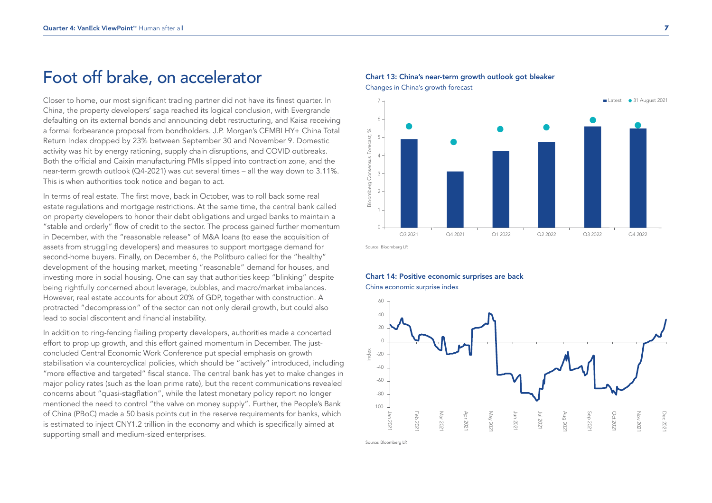### Foot off brake, on accelerator

Closer to home, our most significant trading partner did not have its finest quarter. In China, the property developers' saga reached its logical conclusion, with Evergrande defaulting on its external bonds and announcing debt restructuring, and Kaisa receiving a formal forbearance proposal from bondholders. J.P. Morgan's CEMBI HY+ China Total Return Index dropped by 23% between September 30 and November 9. Domestic activity was hit by energy rationing, supply chain disruptions, and COVID outbreaks. Both the official and Caixin manufacturing PMIs slipped into contraction zone, and the near-term growth outlook (Q4-2021) was cut several times – all the way down to 3.11%. This is when authorities took notice and began to act.

In terms of real estate. The first move, back in October, was to roll back some real estate regulations and mortgage restrictions. At the same time, the central bank called on property developers to honor their debt obligations and urged banks to maintain a "stable and orderly" flow of credit to the sector. The process gained further momentum in December, with the "reasonable release" of M&A loans (to ease the acquisition of assets from struggling developers) and measures to support mortgage demand for second-home buyers. Finally, on December 6, the Politburo called for the "healthy" development of the housing market, meeting "reasonable" demand for houses, and investing more in social housing. One can say that authorities keep "blinking" despite being rightfully concerned about leverage, bubbles, and macro/market imbalances. However, real estate accounts for about 20% of GDP, together with construction. A protracted "decompression" of the sector can not only derail growth, but could also lead to social discontent and financial instability.

In addition to ring-fencing flailing property developers, authorities made a concerted effort to prop up growth, and this effort gained momentum in December. The justconcluded Central Economic Work Conference put special emphasis on growth stabilisation via countercyclical policies, which should be "actively" introduced, including "more effective and targeted" fiscal stance. The central bank has yet to make changes in major policy rates (such as the loan prime rate), but the recent communications revealed concerns about "quasi-stagflation", while the latest monetary policy report no longer mentioned the need to control "the valve on money supply". Further, the People's Bank of China (PBoC) made a 50 basis points cut in the reserve requirements for banks, which is estimated to inject CNY1.2 trillion in the economy and which is specifically aimed at supporting small and medium-sized enterprises.



#### Chart 13: China's near-term growth outlook got bleaker Changes in China's growth forecast





Source: Bloomberg LP.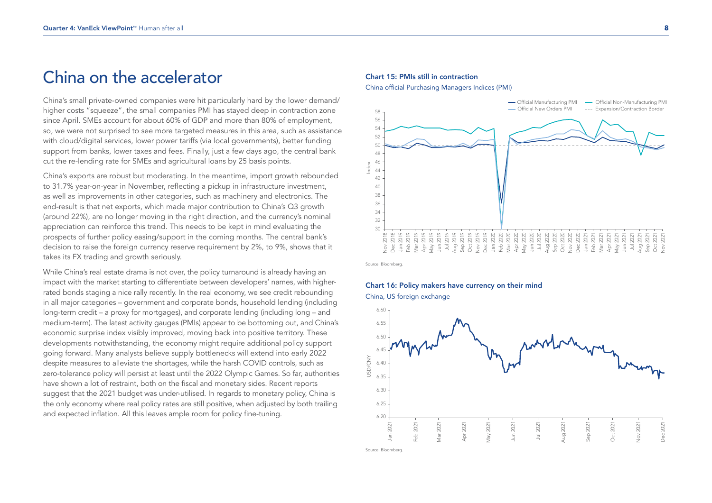### China on the accelerator

China's small private-owned companies were hit particularly hard by the lower demand/ higher costs "squeeze", the small companies PMI has stayed deep in contraction zone since April. SMEs account for about 60% of GDP and more than 80% of employment, so, we were not surprised to see more targeted measures in this area, such as assistance with cloud/digital services, lower power tariffs (via local governments), better funding support from banks, lower taxes and fees. Finally, just a few days ago, the central bank cut the re-lending rate for SMEs and agricultural loans by 25 basis points.

China's exports are robust but moderating. In the meantime, import growth rebounded to 31.7% year-on-year in November, reflecting a pickup in infrastructure investment, as well as improvements in other categories, such as machinery and electronics. The end-result is that net exports, which made major contribution to China's Q3 growth (around 22%), are no longer moving in the right direction, and the currency's nominal appreciation can reinforce this trend. This needs to be kept in mind evaluating the prospects of further policy easing/support in the coming months. The central bank's decision to raise the foreign currency reserve requirement by 2%, to 9%, shows that it takes its FX trading and growth seriously.

While China's real estate drama is not over, the policy turnaround is already having an impact with the market starting to differentiate between developers' names, with higherrated bonds staging a nice rally recently. In the real economy, we see credit rebounding in all major categories – government and corporate bonds, household lending (including long-term credit – a proxy for mortgages), and corporate lending (including long – and medium-term). The latest activity gauges (PMIs) appear to be bottoming out, and China's economic surprise index visibly improved, moving back into positive territory. These developments notwithstanding, the economy might require additional policy support going forward. Many analysts believe supply bottlenecks will extend into early 2022 despite measures to alleviate the shortages, while the harsh COVID controls, such as zero-tolerance policy will persist at least until the 2022 Olympic Games. So far, authorities have shown a lot of restraint, both on the fiscal and monetary sides. Recent reports suggest that the 2021 budget was under-utilised. In regards to monetary policy, China is the only economy where real policy rates are still positive, when adjusted by both trailing and expected inflation. All this leaves ample room for policy fine-tuning.

#### Chart 15: PMIs still in contraction

China official Purchasing Managers Indices (PMI)



Source: Bloomberg.

#### Chart 16: Policy makers have currency on their mind China, US foreign exchange

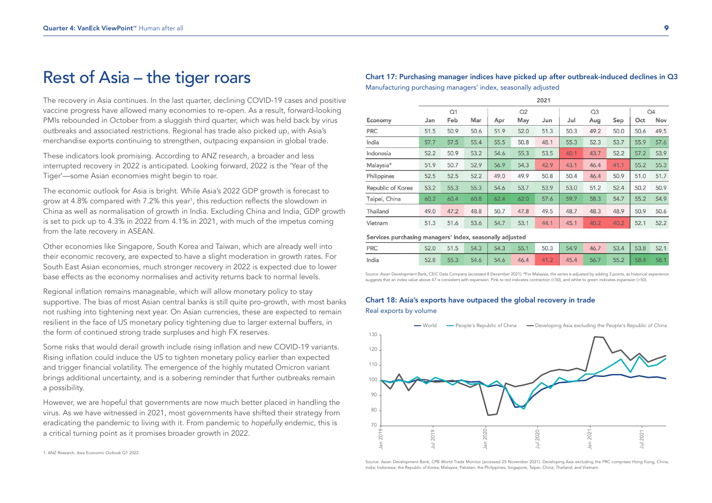### Rest of Asia – the tiger roars<br>Manufacturing purchasing managers' indices have picked up after the Manufacturing purchasing managers' index, seasonally adjusted

The recovery in Asia continues. In the last quarter, declining COVID-19 cases and positive vaccine progress have allowed many economies to re-open. As a result, forward-looking PMIs rebounded in October from a sluggish third quarter, which was held back by virus outbreaks and associated restrictions. Regional has trade also picked up, with Asia's merchandise exports continuing to strengthen, outpacing expansion in global trade.

These indicators look promising. According to ANZ research, a broader and less interrupted recovery in 2022 is anticipated. Looking forward, 2022 is the 'Year of the Tiger'—some Asian economies might begin to roar.

The economic outlook for Asia is bright. While Asia's 2022 GDP growth is forecast to grow at 4.8% compared with 7.2% this year<sup>1</sup>, this reduction reflects the slowdown in China as well as normalisation of growth in India. Excluding China and India, GDP growth is set to pick up to 4.3% in 2022 from 4.1% in 2021, with much of the impetus coming from the late recovery in ASEAN.

Other economies like Singapore, South Korea and Taiwan, which are already well into their economic recovery, are expected to have a slight moderation in growth rates. For South East Asian economies, much stronger recovery in 2022 is expected due to lower base effects as the economy normalises and activity returns back to normal levels.

Regional inflation remains manageable, which will allow monetary policy to stay supportive. The bias of most Asian central banks is still quite pro-growth, with most banks not rushing into tightening next year. On Asian currencies, these are expected to remain resilient in the face of US monetary policy tightening due to larger external buffers, in the form of continued strong trade surpluses and high FX reserves.

Some risks that would derail growth include rising inflation and new COVID-19 variants. Rising inflation could induce the US to tighten monetary policy earlier than expected and trigger financial volatility. The emergence of the highly mutated Omicron variant brings additional uncertainty, and is a sobering reminder that further outbreaks remain a possibility.

However, we are hopeful that governments are now much better placed in handling the virus. As we have witnessed in 2021, most governments have shifted their strategy from eradicating the pandemic to living with it. From pandemic to *hopefully* endemic, this is a critical turning point as it promises broader growth in 2022.

1. ANZ Research, Asia Economic Outlook Q1 2022.

|           | 2021           |      |      |                |      |      |                |      |      |                |      |
|-----------|----------------|------|------|----------------|------|------|----------------|------|------|----------------|------|
|           | Q <sub>1</sub> |      |      | O <sub>2</sub> |      |      | Q <sub>3</sub> |      |      | Q <sub>4</sub> |      |
| Economy   | Jan            | Feb  | Mar  | Apr            | May  | Jun  | Jul            | Aug  | Sep  | Oct            | Nov  |
| PRC       | 51.5           | 50.9 | 50.6 | 51.9           | 52.0 | 51.3 | 50.3           | 49.2 | 50.0 | 50.6           | 49.5 |
| India     | 57.7           | 57.5 | 55.4 | 55.5           | 50.8 | 48.1 | 55.3           | 52.3 | 53.7 | 55.9           | 57.6 |
| Indonesia | 52.2           | 50.9 | 53.2 | 54.6           | 55.3 | 53.5 | 40.1           | 43.7 | 52.2 | 57.2           | 53.9 |
| Malaysia* | 51.9           | 50.7 | 52.9 | 56.9           | 54.3 | 42.9 | 43.1           | 46.4 | 41.1 | 55.2           | 55.3 |

49.9

53.7

 $62.0$ 

47.8

53.1

50.8

53.9

57.6

49.5

44.1

50.4

53.0

59.7

48.7

45.1

 $46.4$ 

51.2

58.3

48.3

40.2

50.9

52.4

54.7

48.9

40.2

51.0

50.2

55.2

50.9

 $52.1$ 

51.7

50.9

54.9

50.6

52.2

### Chart 17: Purchasing manager indices have picked up after outbreak-induced declines in Q3

| Services purchasing managers' index, seasonally adjusted |  |  |  |
|----------------------------------------------------------|--|--|--|
|                                                          |  |  |  |

52.5

55.3

60.4

47.2

51.6

52.2

55.3

60.8

48.8

53.6

49.0

54.6

 $62.4$ 

50.7

54.7

52.5

53.2

 $60.2$ 

49.0

51.3

Philippines

Taipei, China

Thailand

Vietnam

Republic of Korea

| <b>PRC</b> |      | 52.0 51.5 |             |  | 54.3 54.3 55.1 50.3 54.9 46.7 53.4 53.8 52.1 |  |  |
|------------|------|-----------|-------------|--|----------------------------------------------|--|--|
| India      | 52.8 | 55.3      | $54.6$ 54.6 |  | 46.4 41.2 45.4 56.7 55.2 58.4 58.1           |  |  |

Source: Asian Development Bank, CEIC Data Company (accessed 8 December 2021). \*For Malaysia, the series is adjusted by adding 3 points, as historical experience suggests that an index value above 47 is consistent with expansion. Pink to red indicates contraction (<50), and white to green indicates expansion (>50).

#### Chart 18: Asia's exports have outpaced the global recovery in trade Real exports by volume



Source: Asian Development Bank, CPB World Trade Monitor (accessed 25 November 2021). Developing Asia excluding the PRC comprises Hong Kong, China; India; Indonesia; the Republic of Korea; Malaysia; Pakistan; the Philippines; Singapore; Taipei, China; Thailand; and Vietnam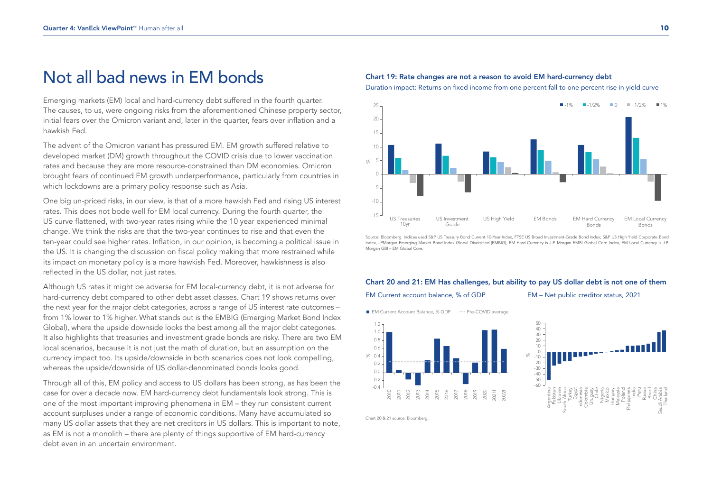### Not all bad news in EM bonds

Emerging markets (EM) local and hard-currency debt suffered in the fourth quarter. The causes, to us, were ongoing risks from the aforementioned Chinese property sector, initial fears over the Omicron variant and, later in the quarter, fears over inflation and a hawkish Fed.

The advent of the Omicron variant has pressured EM. EM growth suffered relative to developed market (DM) growth throughout the COVID crisis due to lower vaccination rates and because they are more resource-constrained than DM economies. Omicron brought fears of continued EM growth underperformance, particularly from countries in which lockdowns are a primary policy response such as Asia.

One big un-priced risks, in our view, is that of a more hawkish Fed and rising US interest rates. This does not bode well for EM local currency. During the fourth quarter, the US curve flattened, with two-year rates rising while the 10 year experienced minimal change. We think the risks are that the two-year continues to rise and that even the ten-year could see higher rates. Inflation, in our opinion, is becoming a political issue in the US. It is changing the discussion on fiscal policy making that more restrained while its impact on monetary policy is a more hawkish Fed. Moreover, hawkishness is also reflected in the US dollar, not just rates.

Although US rates it might be adverse for EM local-currency debt, it is not adverse for hard-currency debt compared to other debt asset classes. Chart 19 shows returns over the next year for the major debt categories, across a range of US interest rate outcomes – from 1% lower to 1% higher. What stands out is the EMBIG (Emerging Market Bond Index Global), where the upside downside looks the best among all the major debt categories. It also highlights that treasuries and investment grade bonds are risky. There are two EM local scenarios, because it is not just the math of duration, but an assumption on the currency impact too. Its upside/downside in both scenarios does not look compelling, whereas the upside/downside of US dollar-denominated bonds looks good.

Through all of this, EM policy and access to US dollars has been strong, as has been the case for over a decade now. EM hard-currency debt fundamentals look strong. This is one of the most important improving phenomena in EM – they run consistent current account surpluses under a range of economic conditions. Many have accumulated so many US dollar assets that they are net creditors in US dollars. This is important to note, as EM is not a monolith – there are plenty of things supportive of EM hard-currency debt even in an uncertain environment.



#### Chart 19: Rate changes are not a reason to avoid EM hard-currency debt

Duration impact: Returns on fixed income from one percent fall to one percent rise in yield curve

Source: Bloomberg. Indices used S&P US Treasury Bond Current 10-Year Index, FTSE US Broad Investment-Grade Bond Index; S&P US High Yield Corporate Bond Index, JPMorgan Emerging Market Bond Index Global Diversified (EMBIG), EM Hard Currency is J.P. Morgan EMBI Global Core Index, EM Local Currency is J.P. Morgan GBI – EM Global Core.

#### Chart 20 and 21: EM Has challenges, but ability to pay US dollar debt is not one of them

EM Current account balance, % of GDP EM – Net public creditor status, 2021

■ EM Current Account Balance, % GDP --- Pre-COVID average



Chart 20 & 21 source: Bloomberg.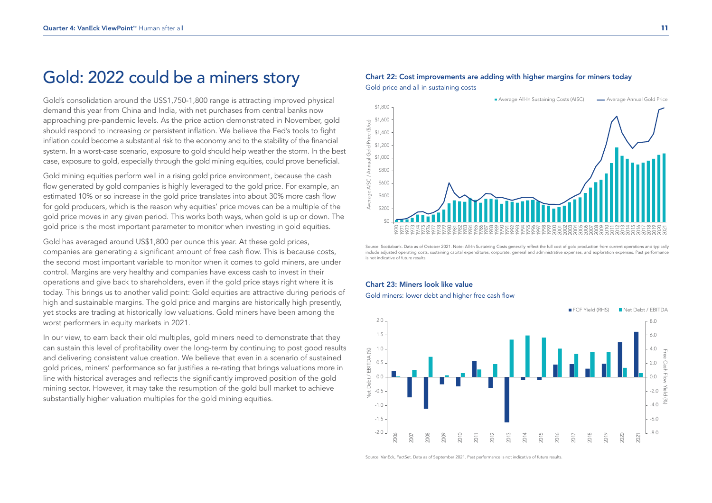### Gold: 2022 could be a miners story

Gold's consolidation around the US\$1,750-1,800 range is attracting improved physical demand this year from China and India, with net purchases from central banks now approaching pre-pandemic levels. As the price action demonstrated in November, gold should respond to increasing or persistent inflation. We believe the Fed's tools to fight inflation could become a substantial risk to the economy and to the stability of the financial system. In a worst-case scenario, exposure to gold should help weather the storm. In the best case, exposure to gold, especially through the gold mining equities, could prove beneficial.

Gold mining equities perform well in a rising gold price environment, because the cash flow generated by gold companies is highly leveraged to the gold price. For example, an estimated 10% or so increase in the gold price translates into about 30% more cash flow for gold producers, which is the reason why equities' price moves can be a multiple of the gold price moves in any given period. This works both ways, when gold is up or down. The gold price is the most important parameter to monitor when investing in gold equities.

Gold has averaged around US\$1,800 per ounce this year. At these gold prices, companies are generating a significant amount of free cash flow. This is because costs, the second most important variable to monitor when it comes to gold miners, are under control. Margins are very healthy and companies have excess cash to invest in their operations and give back to shareholders, even if the gold price stays right where it is today. This brings us to another valid point: Gold equities are attractive during periods of high and sustainable margins. The gold price and margins are historically high presently, yet stocks are trading at historically low valuations. Gold miners have been among the worst performers in equity markets in 2021.

In our view, to earn back their old multiples, gold miners need to demonstrate that they can sustain this level of profitability over the long-term by continuing to post good results and delivering consistent value creation. We believe that even in a scenario of sustained gold prices, miners' performance so far justifies a re-rating that brings valuations more in line with historical averages and reflects the significantly improved position of the gold mining sector. However, it may take the resumption of the gold bull market to achieve substantially higher valuation multiples for the gold mining equities.



Chart 22: Cost improvements are adding with higher margins for miners today Gold price and all in sustaining costs

#### Source: Scotiabank. Data as of October 2021. Note: All-In Sustaining Costs generally reflect the full cost of gold production from current operations and typically include adjusted operating costs, sustaining capital expenditures, corporate, general and administrative expenses, and exploration expenses. Past performance is not indicative of future results.

#### Chart 23: Miners look like value

#### Gold miners: lower debt and higher free cash flow



Source: VanEck, FactSet. Data as of September 2021. Past performance is not indicative of future results.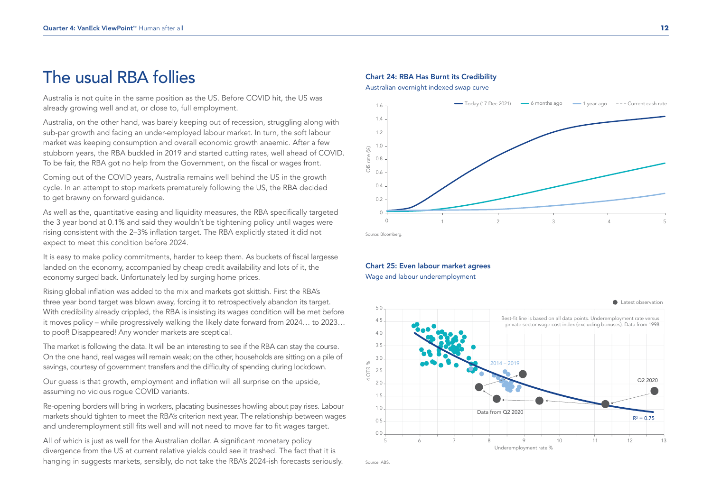### The usual RBA follies

Australia is not quite in the same position as the US. Before COVID hit, the US was already growing well and at, or close to, full employment.

Australia, on the other hand, was barely keeping out of recession, struggling along with sub-par growth and facing an under-employed labour market. In turn, the soft labour market was keeping consumption and overall economic growth anaemic. After a few stubborn years, the RBA buckled in 2019 and started cutting rates, well ahead of COVID. To be fair, the RBA got no help from the Government, on the fiscal or wages front.

Coming out of the COVID years, Australia remains well behind the US in the growth cycle. In an attempt to stop markets prematurely following the US, the RBA decided to get brawny on forward guidance.

As well as the, quantitative easing and liquidity measures, the RBA specifically targeted the 3 year bond at 0.1% and said they wouldn't be tightening policy until wages were rising consistent with the 2–3% inflation target. The RBA explicitly stated it did not expect to meet this condition before 2024.

It is easy to make policy commitments, harder to keep them. As buckets of fiscal largesse landed on the economy, accompanied by cheap credit availability and lots of it, the economy surged back. Unfortunately led by surging home prices.

Rising global inflation was added to the mix and markets got skittish. First the RBA's three year bond target was blown away, forcing it to retrospectively abandon its target. With credibility already crippled, the RBA is insisting its wages condition will be met before it moves policy – while progressively walking the likely date forward from 2024… to 2023… to poof! Disappeared! Any wonder markets are sceptical.

The market is following the data. It will be an interesting to see if the RBA can stay the course. On the one hand, real wages will remain weak; on the other, households are sitting on a pile of savings, courtesy of government transfers and the difficulty of spending during lockdown.

Our guess is that growth, employment and inflation will all surprise on the upside, assuming no vicious rogue COVID variants.

Re-opening borders will bring in workers, placating businesses howling about pay rises. Labour markets should tighten to meet the RBA's criterion next year. The relationship between wages and underemployment still fits well and will not need to move far to fit wages target.

All of which is just as well for the Australian dollar. A significant monetary policy divergence from the US at current relative yields could see it trashed. The fact that it is hanging in suggests markets, sensibly, do not take the RBA's 2024-ish forecasts seriously.

#### Chart 24: RBA Has Burnt its Credibility

Australian overnight indexed swap curve



#### Chart 25: Even labour market agrees Wage and labour underemployment



Source: ABS.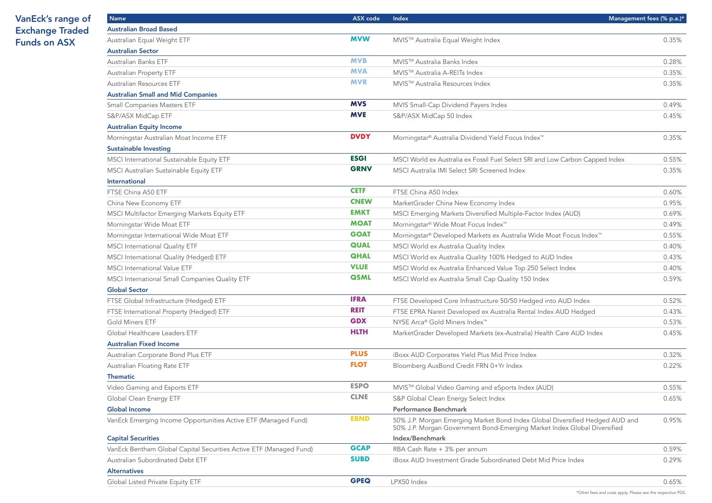| VanEck's range of      | <b>Name</b>                                                        | ASX code    | Index                                                                                                                                                    | Management fees (% p.a.)* |  |  |  |  |
|------------------------|--------------------------------------------------------------------|-------------|----------------------------------------------------------------------------------------------------------------------------------------------------------|---------------------------|--|--|--|--|
| <b>Exchange Traded</b> | <b>Australian Broad Based</b>                                      |             |                                                                                                                                                          |                           |  |  |  |  |
| <b>Funds on ASX</b>    | Australian Equal Weight ETF                                        | <b>MVW</b>  | MVIS™ Australia Equal Weight Index                                                                                                                       | 0.35%                     |  |  |  |  |
|                        | <b>Australian Sector</b>                                           |             |                                                                                                                                                          |                           |  |  |  |  |
|                        | Australian Banks ETF                                               | <b>MVB</b>  | MVIS™ Australia Banks Index                                                                                                                              | 0.28%                     |  |  |  |  |
|                        | Australian Property ETF                                            | <b>MVA</b>  | MVIS™ Australia A-REITs Index                                                                                                                            | 0.35%                     |  |  |  |  |
|                        | Australian Resources ETF                                           | <b>MVR</b>  | MVIS™ Australia Resources Index                                                                                                                          | 0.35%                     |  |  |  |  |
|                        | <b>Australian Small and Mid Companies</b>                          |             |                                                                                                                                                          |                           |  |  |  |  |
|                        | Small Companies Masters ETF                                        | <b>MVS</b>  | MVIS Small-Cap Dividend Payers Index                                                                                                                     | 0.49%                     |  |  |  |  |
|                        | S&P/ASX MidCap ETF                                                 | <b>MVE</b>  | S&P/ASX MidCap 50 Index                                                                                                                                  | 0.45%                     |  |  |  |  |
|                        | <b>Australian Equity Income</b>                                    |             |                                                                                                                                                          |                           |  |  |  |  |
|                        | Morningstar Australian Moat Income ETF                             | <b>DVDY</b> | Morningstar® Australia Dividend Yield Focus Index <sup>™</sup>                                                                                           | 0.35%                     |  |  |  |  |
|                        | <b>Sustainable Investing</b>                                       |             |                                                                                                                                                          |                           |  |  |  |  |
|                        | MSCI International Sustainable Equity ETF                          | <b>ESGI</b> | MSCI World ex Australia ex Fossil Fuel Select SRI and Low Carbon Capped Index                                                                            | 0.55%                     |  |  |  |  |
|                        | MSCI Australian Sustainable Equity ETF                             | <b>GRNV</b> | MSCI Australia IMI Select SRI Screened Index                                                                                                             | 0.35%                     |  |  |  |  |
|                        | International                                                      |             |                                                                                                                                                          |                           |  |  |  |  |
|                        | FTSE China A50 ETF                                                 | <b>CETF</b> | FTSE China A50 Index                                                                                                                                     | 0.60%                     |  |  |  |  |
|                        | China New Economy ETF                                              | <b>CNEW</b> | MarketGrader China New Economy Index                                                                                                                     | 0.95%                     |  |  |  |  |
|                        | MSCI Multifactor Emerging Markets Equity ETF                       | <b>EMKT</b> | MSCI Emerging Markets Diversified Multiple-Factor Index (AUD)                                                                                            | 0.69%                     |  |  |  |  |
|                        | Morningstar Wide Moat ETF                                          | <b>MOAT</b> | Morningstar® Wide Moat Focus Index <sup>™</sup>                                                                                                          | 0.49%                     |  |  |  |  |
|                        | Morningstar International Wide Moat ETF                            | <b>GOAT</b> | Morningstar® Developed Markets ex Australia Wide Moat Focus Index <sup>™</sup>                                                                           | 0.55%                     |  |  |  |  |
|                        | MSCI International Quality ETF                                     | <b>QUAL</b> | MSCI World ex Australia Quality Index                                                                                                                    | 0.40%                     |  |  |  |  |
|                        | MSCI International Quality (Hedged) ETF                            | <b>QHAL</b> | MSCI World ex Australia Quality 100% Hedged to AUD Index                                                                                                 | 0.43%                     |  |  |  |  |
|                        | MSCI International Value ETF                                       | <b>VLUE</b> | MSCI World ex Australia Enhanced Value Top 250 Select Index                                                                                              | 0.40%                     |  |  |  |  |
|                        | MSCI International Small Companies Quality ETF                     | <b>QSML</b> | MSCI World ex Australia Small Cap Quality 150 Index                                                                                                      | 0.59%                     |  |  |  |  |
|                        | <b>Global Sector</b>                                               |             |                                                                                                                                                          |                           |  |  |  |  |
|                        | FTSE Global Infrastructure (Hedged) ETF                            | <b>IFRA</b> | FTSE Developed Core Infrastructure 50/50 Hedged into AUD Index                                                                                           | 0.52%                     |  |  |  |  |
|                        | FTSE International Property (Hedged) ETF                           | <b>REIT</b> | FTSE EPRA Nareit Developed ex Australia Rental Index AUD Hedged                                                                                          | 0.43%                     |  |  |  |  |
|                        | Gold Miners ETF                                                    | <b>GDX</b>  | NYSE Arca® Gold Miners Index <sup>™</sup>                                                                                                                | 0.53%                     |  |  |  |  |
|                        | Global Healthcare Leaders ETF                                      | <b>HLTH</b> | MarketGrader Developed Markets (ex-Australia) Health Care AUD Index                                                                                      | 0.45%                     |  |  |  |  |
|                        | <b>Australian Fixed Income</b>                                     |             |                                                                                                                                                          |                           |  |  |  |  |
|                        | Australian Corporate Bond Plus ETF                                 | <b>PLUS</b> | iBoxx AUD Corporates Yield Plus Mid Price Index                                                                                                          | 0.32%                     |  |  |  |  |
|                        | Australian Floating Rate ETF                                       | <b>FLOT</b> | Bloomberg AusBond Credit FRN 0+Yr Index                                                                                                                  | 0.22%                     |  |  |  |  |
|                        | <b>Thematic</b>                                                    |             |                                                                                                                                                          |                           |  |  |  |  |
|                        | Video Gaming and Esports ETF                                       | <b>ESPO</b> | MVIS™ Global Video Gaming and eSports Index (AUD)                                                                                                        | 0.55%                     |  |  |  |  |
|                        | Global Clean Energy ETF                                            | <b>CLNE</b> | S&P Global Clean Energy Select Index                                                                                                                     | 0.65%                     |  |  |  |  |
|                        | <b>Global Income</b>                                               |             | Performance Benchmark                                                                                                                                    |                           |  |  |  |  |
|                        | VanEck Emerging Income Opportunities Active ETF (Managed Fund)     | <b>EBND</b> | 50% J.P. Morgan Emerging Market Bond Index Global Diversified Hedged AUD and<br>50% J.P. Morgan Government Bond-Emerging Market Index Global Diversified | 0.95%                     |  |  |  |  |
|                        | <b>Capital Securities</b>                                          |             | Index/Benchmark                                                                                                                                          |                           |  |  |  |  |
|                        | VanEck Bentham Global Capital Securities Active ETF (Managed Fund) | <b>GCAP</b> | RBA Cash Rate + 3% per annum                                                                                                                             | 0.59%                     |  |  |  |  |
|                        | Australian Subordinated Debt ETF                                   | <b>SUBD</b> | iBoxx AUD Investment Grade Subordinated Debt Mid Price Index                                                                                             | 0.29%                     |  |  |  |  |
|                        | <b>Alternatives</b>                                                |             |                                                                                                                                                          |                           |  |  |  |  |
|                        | Global Listed Private Equity ETF                                   | <b>GPEQ</b> | LPX50 Index                                                                                                                                              | 0.65%                     |  |  |  |  |
|                        |                                                                    |             |                                                                                                                                                          |                           |  |  |  |  |